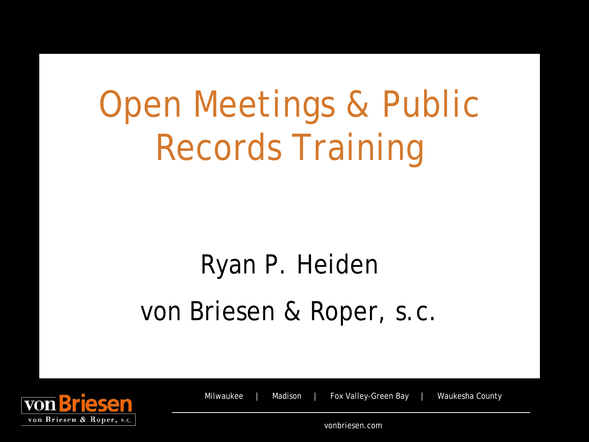## Open Meetings & Public Records Training

### Ryan P. Heiden von Briesen & Roper, s.c.



Milwaukee | Madison | Fox Valley-Green Bay | Waukesha County

vonbriesen.com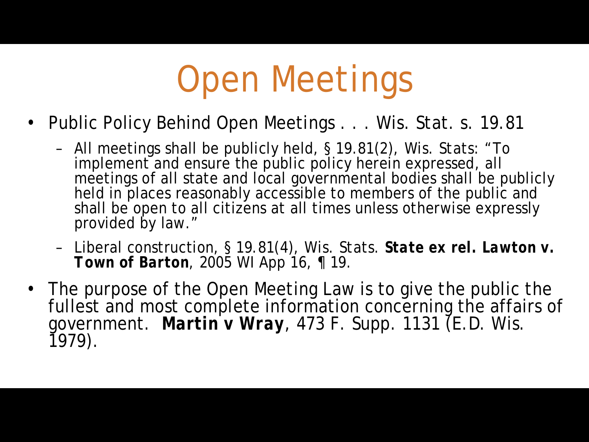## Open Meetings

- Public Policy Behind Open Meetings . . . Wis. Stat. s. 19.81
	- All meetings shall be publicly held, § 19.81(2), *Wis. Stats*: "To implement and ensure the public policy herein expressed, all meetings of all state and local governmental bodies shall be publicly held in places reasonably accessible to members of the public and shall be open to all citizens at all times unless otherwise expressly provided by law."
	- Liberal construction, § 19.81(4), *Wis. Stats. State ex rel. Lawton v. Town of Barton, 2005 WI App 16, ¶ 19.*
- The purpose of the Open Meeting Law is to give the public the fullest and most complete information concerning the affairs of government. *Martin v Wray*, 473 F. Supp. 1131 (E.D. Wis. 1979).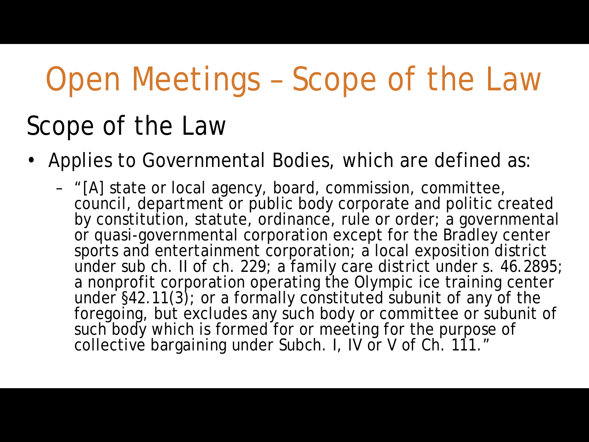### Open Meetings – Scope of the Law

#### Scope of the Law

- Applies to Governmental Bodies, which are defined as:
	- "[A] state or local agency, board, commission, committee, council, department or public body corporate and politic created by constitution, statute, ordinance, rule or order; a governmental or quasi-governmental corporation except for the Bradley center sports and entertainment corporation; a local exposition district under sub ch. II of ch. 229; a family care district under s. 46.2895; a nonprofit corporation operating the Olympic ice training center under §42.11(3); or a formally constituted subunit of any of the foregoing, but excludes any such body or committee or subunit of such body which is formed for or meeting for the purpose of collective bargaining under Subch. I, IV or V of Ch. 111."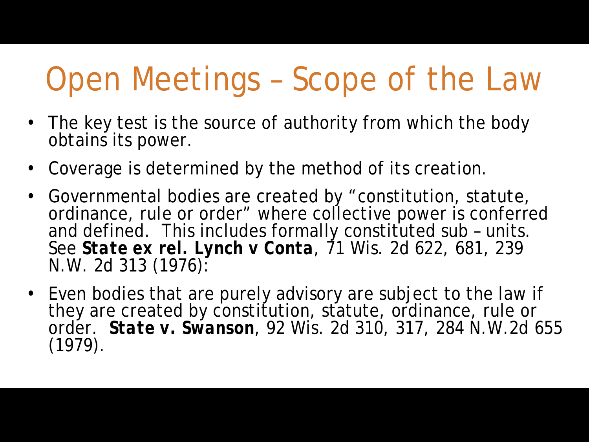### Open Meetings – Scope of the Law

- The key test is the source of authority from which the body obtains its power.
- Coverage is determined by the method of its creation.
- Governmental bodies are created by "constitution, statute, ordinance, rule or order" where collective power is conferred and defined. This includes formally constituted sub – units. See *State ex rel. Lynch v Conta*, 71 Wis. 2d 622, 681, 239 N.W. 2d 313 (1976):
- Even bodies that are purely advisory are subject to the law if they are created by constitution, statute, ordinance, rule or order. *State v. Swanson*, 92 Wis. 2d 310, 317, 284 N.W.2d 655 (1979).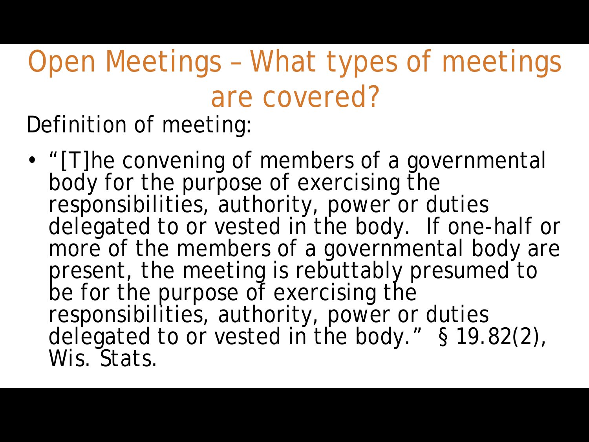Open Meetings – What types of meetings are covered? Definition of meeting:

• "[T]he convening of members of a governmental body for the purpose of exercising the responsibilities, authority, power or duties delegated to or vested in the body. If one-half or more of the members of a governmental body are present, the meeting is rebuttably presumed to be for the purpose of exercising the responsibilities, authority, power or duties delegated to or vested in the body." § 19.82(2), *Wis. Stats*.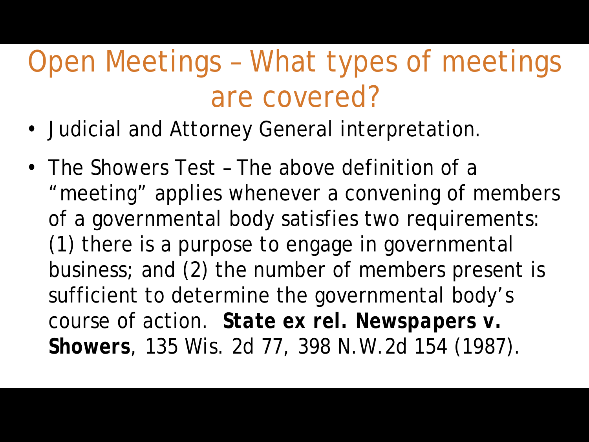- Judicial and Attorney General interpretation.
- The *Showers* Test The above definition of a "meeting" applies whenever a convening of members of a governmental body satisfies two requirements: (1) there is a purpose to engage in governmental business; and (2) the number of members present is sufficient to determine the governmental body's course of action. *State ex rel. Newspapers v. Showers*, 135 Wis. 2d 77, 398 N.W.2d 154 (1987).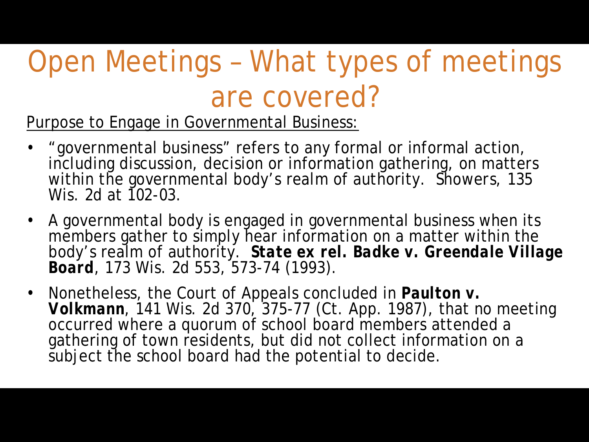Purpose to Engage in Governmental Business:

- "governmental business" refers to any formal or informal action, including discussion, decision or information gathering, on matters within the governmental body's realm of authority. *Showers,* 135 Wis. 2d at 102-03.
- A governmental body is engaged in governmental business when its members gather to simply hear information on a matter within the body's realm of authority. *State ex rel. Badke v. Greendale Village Board*, 173 Wis. 2d 553, 573-74 (1993).
- Nonetheless, the Court of Appeals concluded in *Paulton v. Volkmann*, 141 Wis. 2d 370, 375-77 (Ct. App. 1987), that no meeting occurred where a quorum of school board members attended a gathering of town residents, but did not collect information on a subject the school board had the potential to decide.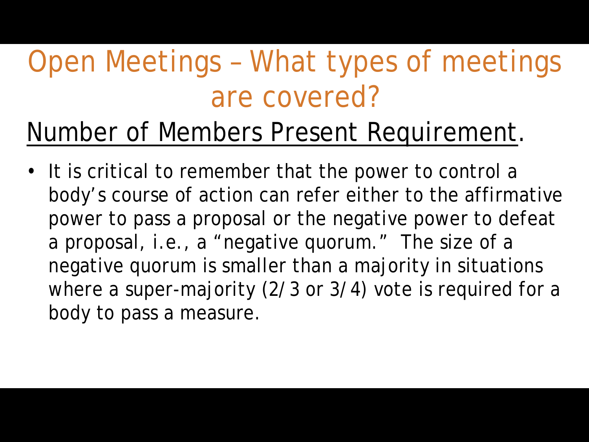#### Number of Members Present Requirement.

• It is critical to remember that the power to control a body's course of action can refer either to the affirmative power to pass a proposal or the negative power to defeat a proposal, *i.e.,* a "negative quorum." The size of a negative quorum is smaller than a majority in situations where a super-majority (2/3 or 3/4) vote is required for a body to pass a measure.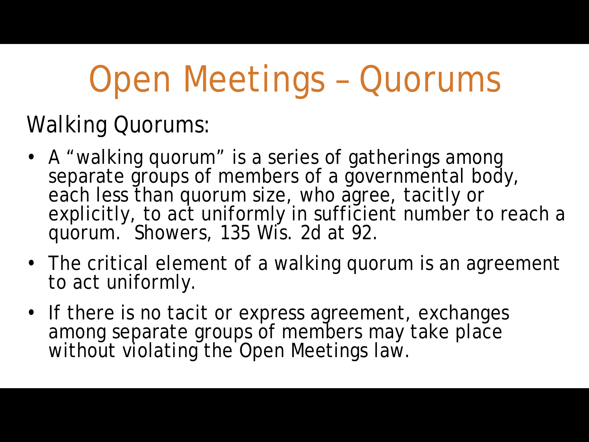## Open Meetings – Quorums

#### Walking Quorums:

- A "walking quorum" is a series of gatherings among separate groups of members of a governmental body, each less than quorum size, who agree, tacitly or explicitly, to act uniformly in sufficient number to reach a quorum. *Showers*, 135 Wis. 2d at 92.
- The critical element of a walking quorum is an agreement to act uniformly.
- If there is no tacit or express agreement, exchanges among separate groups of members may take place without violating the Open Meetings law.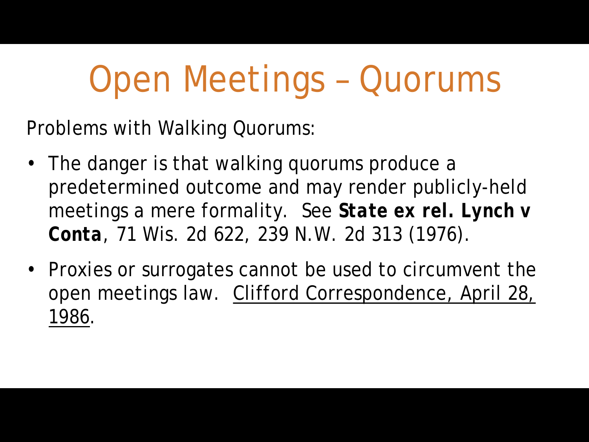## Open Meetings – Quorums

Problems with Walking Quorums:

- The danger is that walking quorums produce a predetermined outcome and may render publicly-held meetings a mere formality. See *State ex rel. Lynch v Conta*, 71 Wis. 2d 622, 239 N.W. 2d 313 (1976).
- Proxies or surrogates cannot be used to circumvent the open meetings law. Clifford Correspondence, April 28, 1986.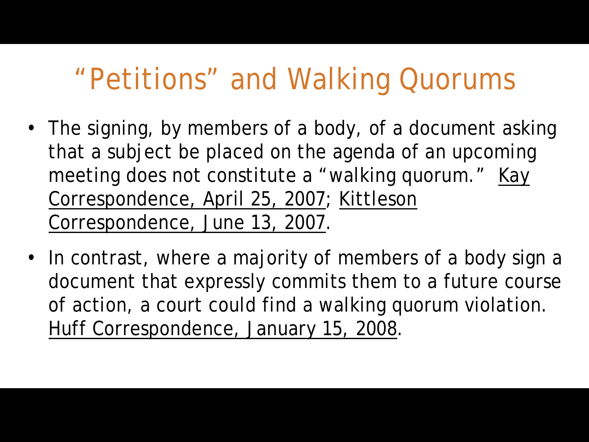#### "Petitions" and Walking Quorums

- The signing, by members of a body, of a document asking that a subject be placed on the agenda of an upcoming meeting does not constitute a "walking quorum." Kay Correspondence, April 25, 2007; Kittleson Correspondence, June 13, 2007.
- In contrast, where a majority of members of a body sign a document that expressly commits them to a future course of action, a court could find a walking quorum violation. Huff Correspondence, January 15, 2008.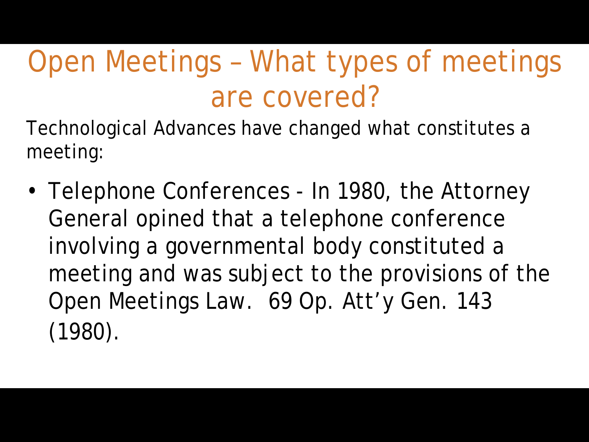Technological Advances have changed what constitutes a meeting:

• Telephone Conferences - In 1980, the Attorney General opined that a telephone conference involving a governmental body constituted a meeting and was subject to the provisions of the Open Meetings Law. 69 Op. Att'y Gen. 143 (1980).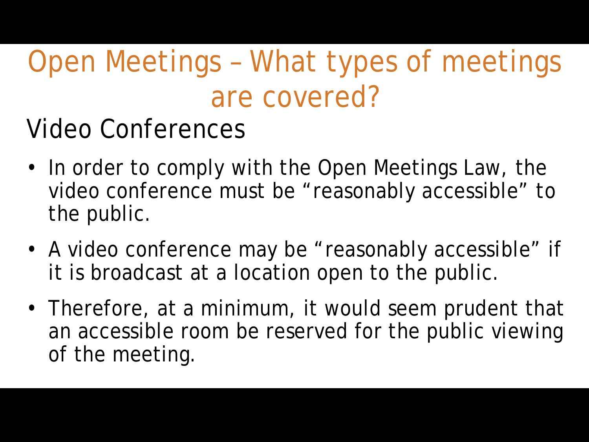Video Conferences

- In order to comply with the Open Meetings Law, the video conference must be "reasonably accessible" to the public.
- A video conference may be "reasonably accessible" if it is broadcast at a location open to the public.
- Therefore, at a minimum, it would seem prudent that an accessible room be reserved for the public viewing of the meeting.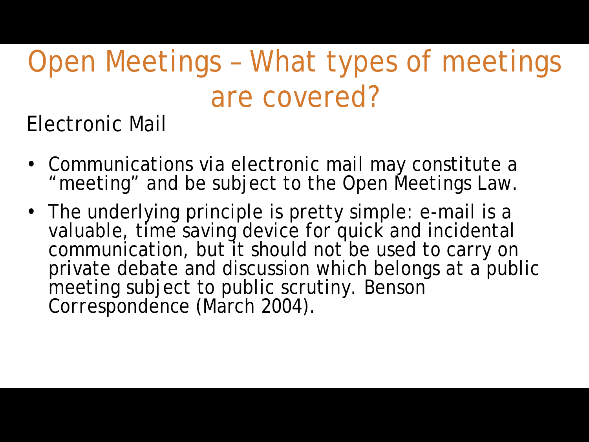Electronic Mail

- Communications *via* electronic mail may constitute a "meeting" and be subject to the Open Meetings Law.
- The underlying principle is pretty simple: e-mail is a valuable, time saving device for quick and incidental communication, but it should not be used to carry on private debate and discussion which belongs at a public meeting subject to public scrutiny. *Benson Correspondence* (March 2004).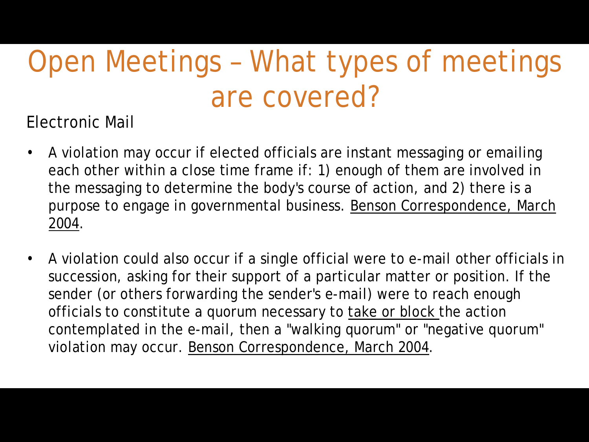Electronic Mail

- A violation may occur if elected officials are instant messaging or emailing each other within a close time frame if: 1) enough of them are involved in the messaging to determine the body's course of action, and 2) there is a purpose to engage in governmental business. Benson Correspondence, March 2004.
- A violation could also occur if a single official were to e-mail other officials in succession, asking for their support of a particular matter or position. If the sender (or others forwarding the sender's e-mail) were to reach enough officials to constitute a quorum necessary to take or block the action contemplated in the e-mail, then a "walking quorum" or "negative quorum" violation may occur. Benson Correspondence, March 2004.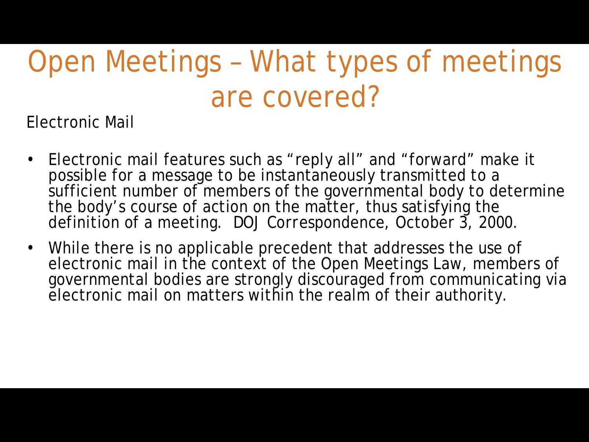Electronic Mail

- Electronic mail features such as "reply all" and "forward" make it possible for a message to be instantaneously transmitted to a sufficient number of members of the governmental body to determine the body's course of action on the matter, thus satisfying the definition of a meeting. *DOJ Correspondence*, October 3, 2000.
- While there is no applicable precedent that addresses the use of electronic mail in the context of the Open Meetings Law, members of governmental bodies are strongly discouraged from communicating via electronic mail on matters within the realm of their authority.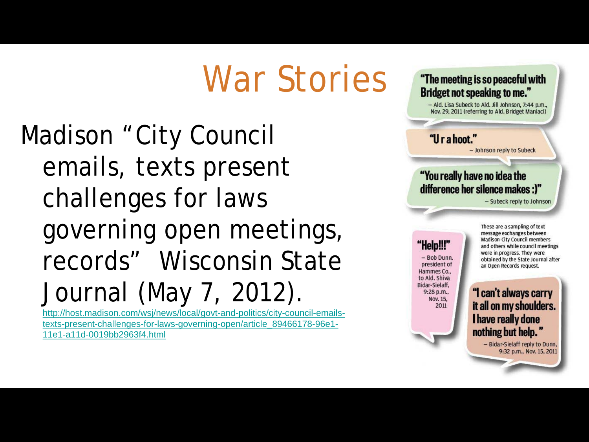### War Stories

Madison "City Council emails, texts present challenges for laws governing open meetings, records" Wisconsin State Journal (May 7, 2012).

[http://host.madison.com/wsj/news/local/govt-and-politics/city-council-emails](http://host.madison.com/wsj/news/local/govt-and-politics/city-council-emails-texts-present-challenges-for-laws-governing-open/article_89466178-96e1-11e1-a11d-0019bb2963f4.html)texts-present-challenges-for-laws-governing-open/article\_89466178-96e1- 11e1-a11d-0019bb2963f4.html



- Ald. Lisa Subeck to Ald. Jill Johnson, 7:44 p.m., Nov. 29, 2011 (referring to Ald. Bridget Maniaci)

#### "Urahoot."

- Johnson reply to Subeck

#### "You really have no idea the difference her silence makes :)"

- Subeck reply to Johnson

"Help!!!' - Bob Dunn president of Hammes Co., to Ald. Shiva Bidar-Sielaff. 9:28 p.m., Nov. 15. 2011

These are a sampling of text message exchanges between **Madison City Council members** and others while council meetings were in progress. They were obtained by the State Journal after an Open Records request.

"I can't always carry it all on my shoulders. I have really done nothing but help.'

- Bidar-Sielaff reply to Dunn, 9:32 p.m., Nov. 15, 2011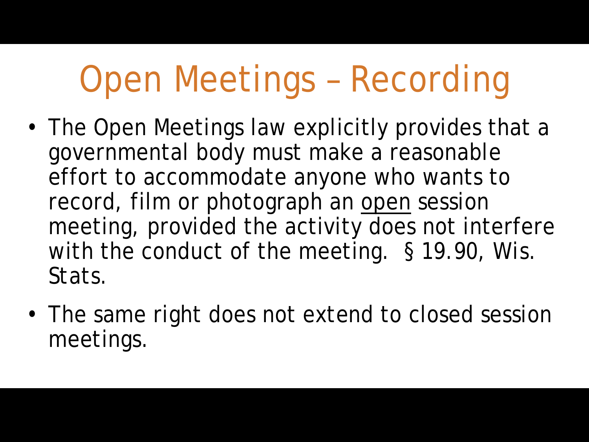## Open Meetings – Recording

- The Open Meetings law explicitly provides that a governmental body must make a reasonable effort to accommodate anyone who wants to record, film or photograph an open session meeting, provided the activity does not interfere with the conduct of the meeting. § 19.90, *Wis. Stats.*
- The same right does not extend to closed session meetings.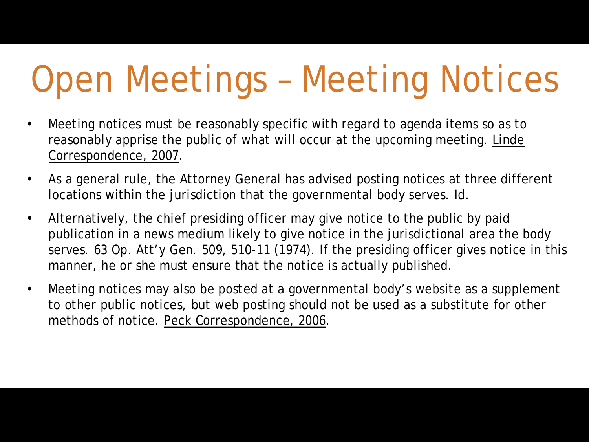## Open Meetings – Meeting Notices

- Meeting notices must be reasonably specific with regard to agenda items so as to reasonably apprise the public of what will occur at the upcoming meeting. Linde Correspondence, 2007.
- As a general rule, the Attorney General has advised posting notices at three different locations within the jurisdiction that the governmental body serves. Id.
- Alternatively, the chief presiding officer may give notice to the public by paid publication in a news medium likely to give notice in the jurisdictional area the body serves. 63 Op. Att'y Gen. 509, 510-11 (1974). If the presiding officer gives notice in this manner, he or she must ensure that the notice is actually published.
- Meeting notices may also be posted at a governmental body's website as a supplement to other public notices, but web posting should not be used as a substitute for other methods of notice. Peck Correspondence, 2006.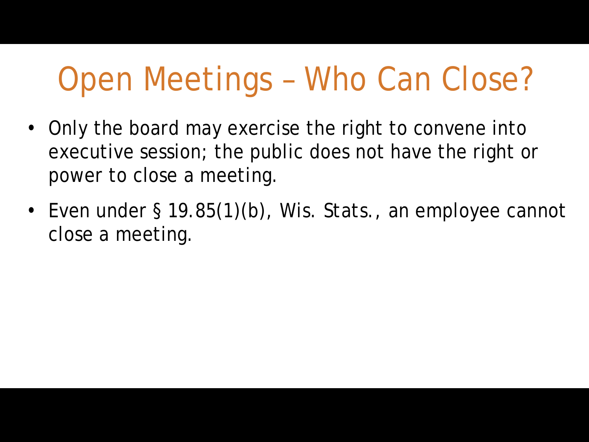### Open Meetings – Who Can Close?

- Only the board may exercise the right to convene into executive session; the public does not have the right or power to close a meeting.
- Even under § 19.85(1)(b), *Wis. Stats.*, an employee cannot close a meeting.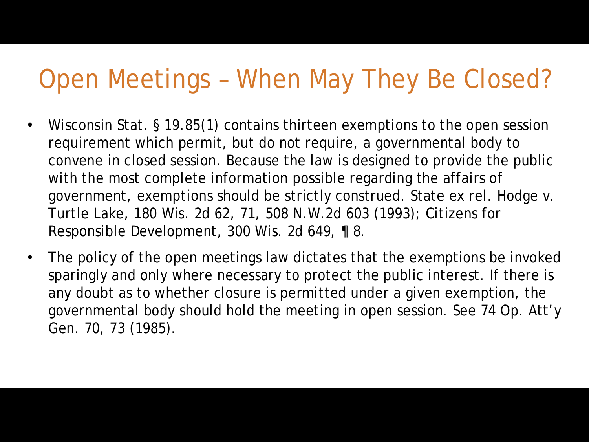#### Open Meetings – When May They Be Closed?

- Wisconsin Stat. § 19.85(1) contains thirteen exemptions to the open session requirement which permit, but do not require, a governmental body to convene in closed session. Because the law is designed to provide the public with the most complete information possible regarding the affairs of government, exemptions should be strictly construed. State ex rel. Hodge v. Turtle Lake, 180 Wis. 2d 62, 71, 508 N.W.2d 603 (1993); Citizens for Responsible Development, 300 Wis. 2d 649, ¶ 8.
- The policy of the open meetings law dictates that the exemptions be invoked sparingly and only where necessary to protect the public interest. If there is any doubt as to whether closure is permitted under a given exemption, the governmental body should hold the meeting in open session. See 74 Op. Att'y Gen. 70, 73 (1985).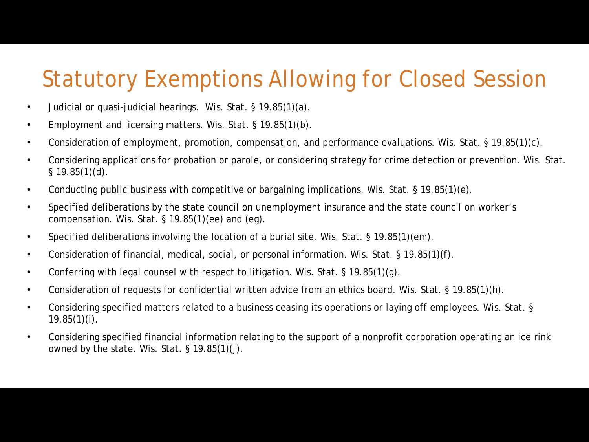#### Statutory Exemptions Allowing for Closed Session

- Judicial or quasi-judicial hearings. Wis. Stat. § 19.85(1)(a).
- Employment and licensing matters. Wis. Stat. § 19.85(1)(b).
- Consideration of employment, promotion, compensation, and performance evaluations. Wis. Stat. § 19.85(1)(c).
- Considering applications for probation or parole, or considering strategy for crime detection or prevention. Wis. Stat.  $§$  19.85(1)(d).
- Conducting public business with competitive or bargaining implications. Wis. Stat. § 19.85(1)(e).
- Specified deliberations by the state council on unemployment insurance and the state council on worker's compensation. Wis. Stat. § 19.85(1)(ee) and (eg).
- Specified deliberations involving the location of a burial site. Wis. Stat. § 19.85(1) (em).
- Consideration of financial, medical, social, or personal information. Wis. Stat. § 19.85(1)(f).
- Conferring with legal counsel with respect to litigation. Wis. Stat. § 19.85(1)(g).
- Consideration of requests for confidential written advice from an ethics board. Wis. Stat. § 19.85(1)(h).
- Considering specified matters related to a business ceasing its operations or laying off employees. Wis. Stat. §  $19.85(1)(i)$ .
- Considering specified financial information relating to the support of a nonprofit corporation operating an ice rink owned by the state. Wis. Stat. § 19.85(1)(j).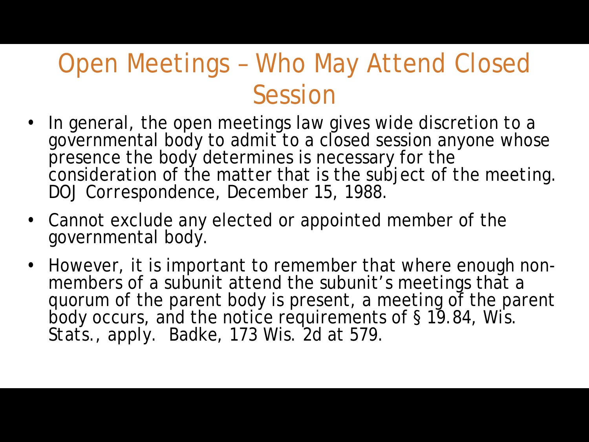#### Open Meetings – Who May Attend Closed Session

- In general, the open meetings law gives wide discretion to a governmental body to admit to a closed session anyone whose presence the body determines is necessary for the consideration of the matter that is the subject of the meeting. *DOJ Correspondence*, December 15, 1988.
- Cannot exclude any elected or appointed member of the governmental body.
- However, it is important to remember that where enough non- members of a subunit attend the subunit's meetings that a quorum of the parent body is present, a meeting of the parent body occurs, and the notice requirements of § 19.84, *Wis. Stats.*, apply. *Badke*, 173 Wis. 2d at 579.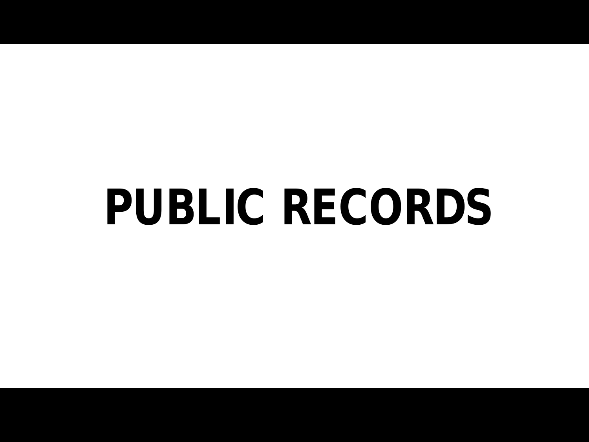# **PUBLIC RECORDS**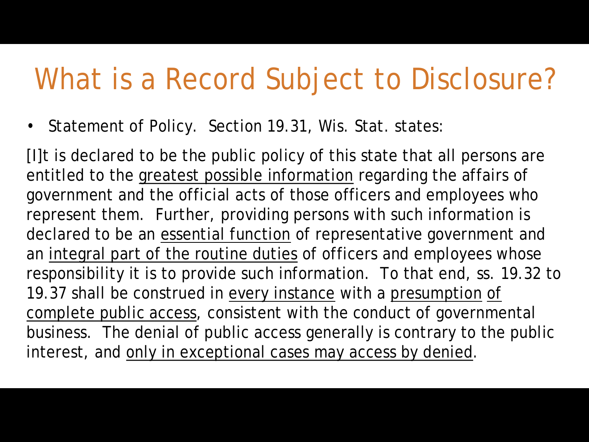#### What is a Record Subject to Disclosure?

• Statement of Policy. Section 19.31, Wis. Stat. states:

[I]t is declared to be the public policy of this state that all persons are entitled to the greatest possible information regarding the affairs of government and the official acts of those officers and employees who represent them. Further, providing persons with such information is declared to be an essential function of representative government and an integral part of the routine duties of officers and employees whose responsibility it is to provide such information. To that end, ss. 19.32 to 19.37 shall be construed in every instance with a presumption of complete public access, consistent with the conduct of governmental business. The denial of public access generally is contrary to the public interest, and only in exceptional cases may access by denied.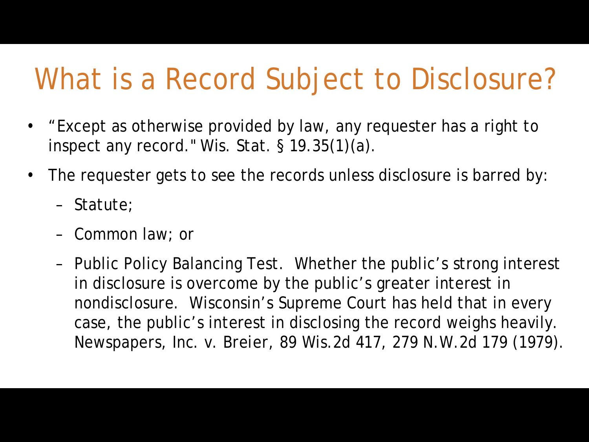### What is a Record Subject to Disclosure?

- "Except as otherwise provided by law, any requester has a right to inspect any record." Wis. Stat. § 19.35(1)(a).
- The requester gets to see the records unless disclosure is barred by:
	- Statute;
	- Common law; or
	- Public Policy Balancing Test. Whether the public's strong interest in disclosure is overcome by the public's greater interest in nondisclosure. Wisconsin's Supreme Court has held that in every case, the public's interest in disclosing the record weighs heavily. *Newspapers, Inc. v. Breier*, 89 Wis.2d 417, 279 N.W.2d 179 (1979).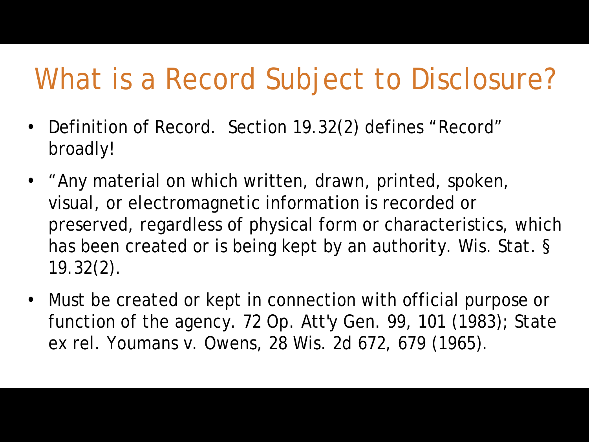#### What is a Record Subject to Disclosure?

- Definition of Record. Section 19.32(2) defines "Record" broadly!
- "Any material on which written, drawn, printed, spoken, visual, or electromagnetic information is recorded or preserved, regardless of physical form or characteristics, which has been created or is being kept by an authority. Wis. Stat. § 19.32(2).
- Must be created or kept in connection with official purpose or function of the agency. 72 Op. Att'y Gen. 99, 101 (1983); State ex rel. Youmans v. Owens, 28 Wis. 2d 672, 679 (1965).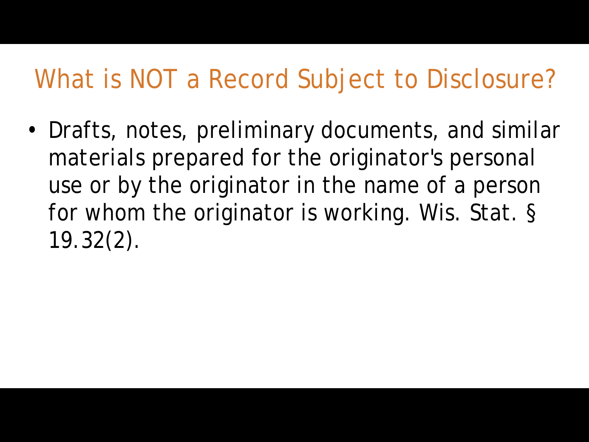#### What is NOT a Record Subject to Disclosure?

• Drafts, notes, preliminary documents, and similar materials prepared for the originator's personal use or by the originator in the name of a person for whom the originator is working. Wis. Stat. § 19.32(2).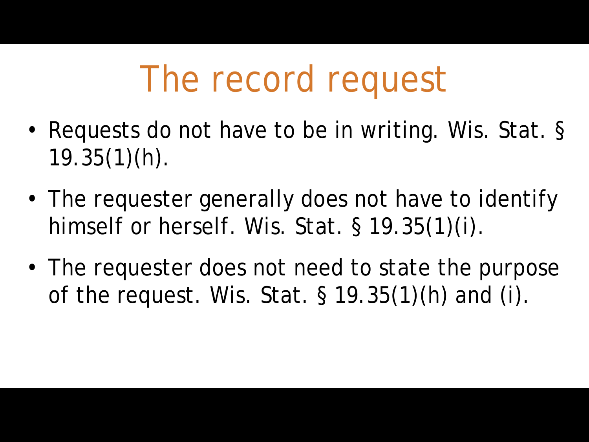### The record request

- Requests do not have to be in writing. Wis. Stat. §  $19.35(1)(h)$ .
- The requester generally does not have to identify himself or herself. Wis. Stat. § 19.35(1)(i).
- The requester does not need to state the purpose of the request. Wis. Stat. § 19.35(1)(h) and (i).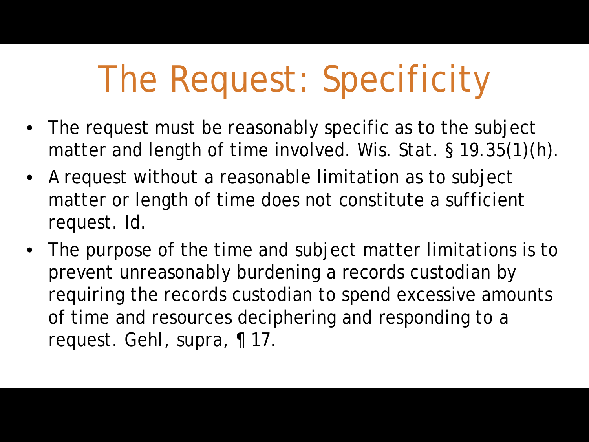### The Request: Specificity

- The request must be reasonably specific as to the subject matter and length of time involved. Wis. Stat. § 19.35(1)(h).
- A request without a reasonable limitation as to subject matter or length of time does not constitute a sufficient request. *Id*.
- The purpose of the time and subject matter limitations is to prevent unreasonably burdening a records custodian by requiring the records custodian to spend excessive amounts of time and resources deciphering and responding to a request. *Gehl, supra*, ¶ 17.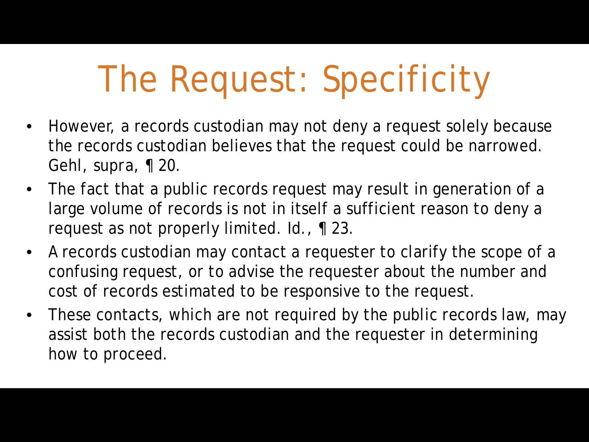### The Request: Specificity

- However, a records custodian may not deny a request solely because the records custodian believes that the request could be narrowed. *Gehl, supra*, ¶ 20.
- The fact that a public records request may result in generation of a large volume of records is not in itself a sufficient reason to deny a request as not properly limited. *Id.*, ¶ 23.
- A records custodian may contact a requester to clarify the scope of a confusing request, or to advise the requester about the number and cost of records estimated to be responsive to the request.
- These contacts, which are not required by the public records law, may assist both the records custodian and the requester in determining how to proceed.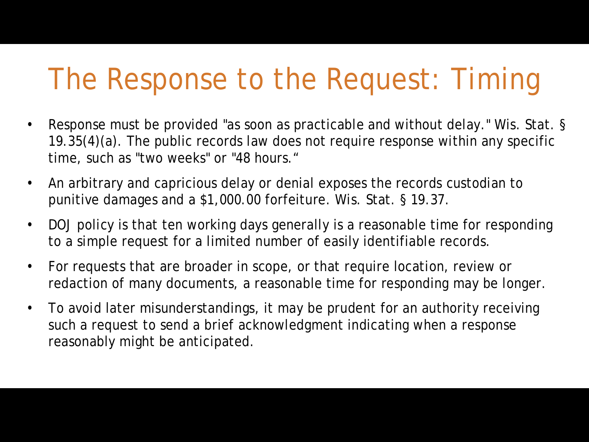#### The Response to the Request: Timing

- Response must be provided "as soon as practicable and without delay." Wis. Stat. § 19.35(4)(a). The public records law does not require response within any specific time, such as "two weeks" or "48 hours."
- An arbitrary and capricious delay or denial exposes the records custodian to punitive damages and a \$1,000.00 forfeiture. Wis. Stat. § 19.37.
- DOJ policy is that ten working days generally is a reasonable time for responding to a simple request for a limited number of easily identifiable records.
- For requests that are broader in scope, or that require location, review or redaction of many documents, a reasonable time for responding may be longer.
- To avoid later misunderstandings, it may be prudent for an authority receiving such a request to send a brief acknowledgment indicating when a response reasonably might be anticipated.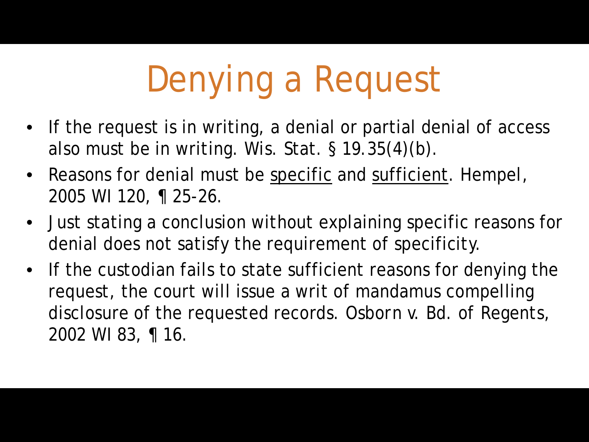## Denying a Request

- If the request is in writing, a denial or partial denial of access also must be in writing. Wis. Stat. § 19.35(4)(b).
- Reasons for denial must be specific and sufficient. *Hempel*, 2005 WI 120, ¶ 25-26.
- Just stating a conclusion without explaining specific reasons for denial does not satisfy the requirement of specificity.
- If the custodian fails to state sufficient reasons for denying the request, the court will issue a writ of mandamus compelling disclosure of the requested records. *Osborn v. Bd. of Regents*, 2002 WI 83, ¶ 16.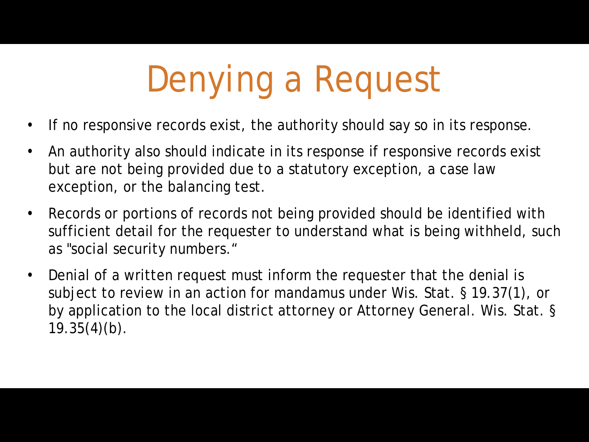## Denying a Request

- If no responsive records exist, the authority should say so in its response.
- An authority also should indicate in its response if responsive records exist but are not being provided due to a statutory exception, a case law exception, or the balancing test.
- Records or portions of records not being provided should be identified with sufficient detail for the requester to understand what is being withheld, such as "social security numbers."
- Denial of a written request must inform the requester that the denial is subject to review in an action for mandamus under Wis. Stat. § 19.37(1), or by application to the local district attorney or Attorney General. Wis. Stat. §  $19.35(4)(b)$ .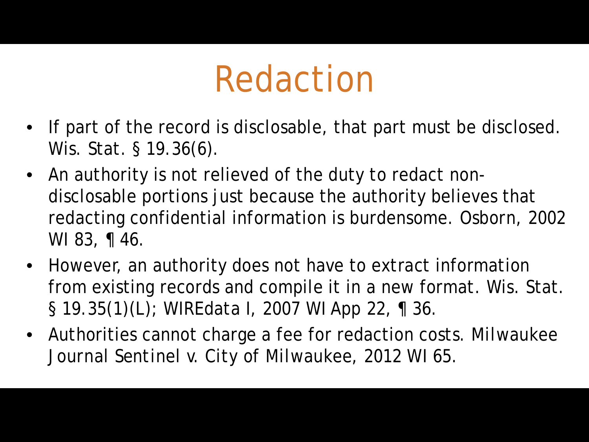### Redaction

- If part of the record is disclosable, that part must be disclosed. Wis. Stat. § 19.36(6).
- An authority is not relieved of the duty to redact nondisclosable portions just because the authority believes that redacting confidential information is burdensome. *Osborn*, 2002 WI 83, ¶ 46.
- However, an authority does not have to extract information from existing records and compile it in a new format. Wis. Stat. § 19.35(1)(L); *WIREdata I*, 2007 WI App 22, ¶ 36.
- Authorities cannot charge a fee for redaction costs. *Milwaukee Journal Sentinel v. City of Milwaukee*, 2012 WI 65.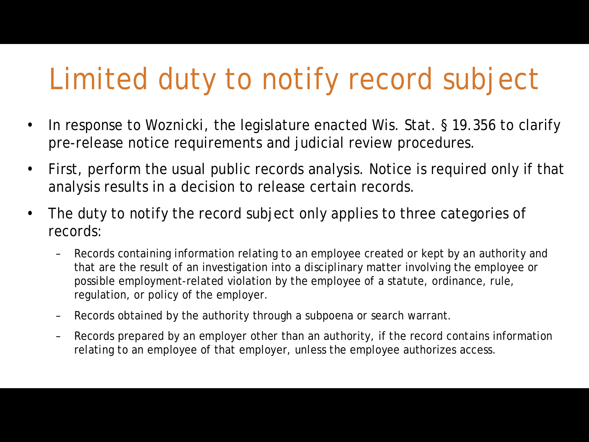### Limited duty to notify record subject

- In response to *Woznicki*, the legislature enacted Wis. Stat. § 19.356 to clarify pre-release notice requirements and judicial review procedures.
- First, perform the usual public records analysis. Notice is required only if that analysis results in a decision to release certain records.
- The duty to notify the record subject only applies to three categories of records:
	- Records containing information relating to an employee created or kept by an authority and that are the result of an investigation into a disciplinary matter involving the employee or possible employment-related violation by the employee of a statute, ordinance, rule, regulation, or policy of the employer.
	- Records obtained by the authority through a subpoena or search warrant.
	- Records prepared by an employer other than an authority, if the record contains information relating to an employee of that employer, unless the employee authorizes access.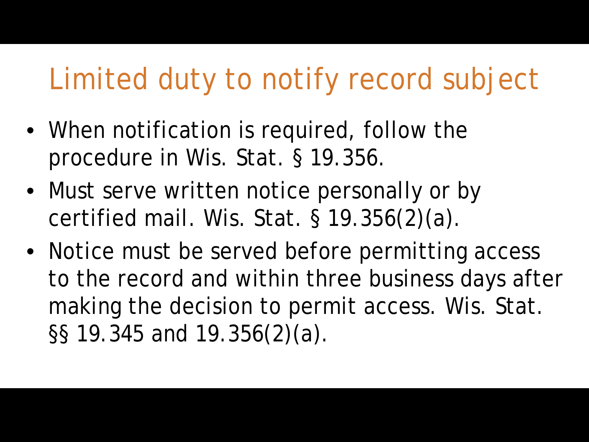#### Limited duty to notify record subject

- When notification is required, follow the procedure in Wis. Stat. § 19.356.
- Must serve written notice personally or by certified mail. Wis. Stat. § 19.356(2)(a).
- Notice must be served before permitting access to the record and within three business days after making the decision to permit access. Wis. Stat. §§ 19.345 and 19.356(2)(a).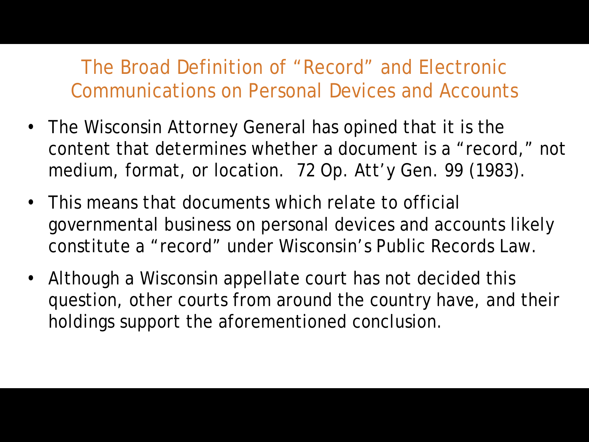- The Wisconsin Attorney General has opined that it is the content that determines whether a document is a "record," not medium, format, or location. 72 Op. Att'y Gen. 99 (1983).
- This means that documents which relate to official governmental business on personal devices and accounts likely constitute a "record" under Wisconsin's Public Records Law.
- Although a Wisconsin appellate court has not decided this question, other courts from around the country have, and their holdings support the aforementioned conclusion.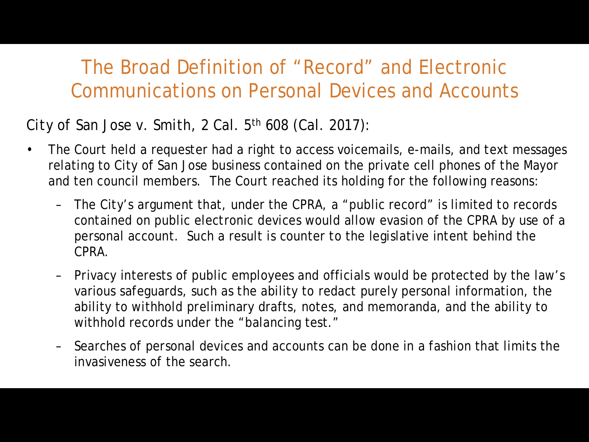#### *City of San Jose v. Smith*, 2 Cal. 5th 608 (Cal. 2017):

- The Court held a requester had a right to access voicemails, e-mails, and text messages relating to City of San Jose business contained on the private cell phones of the Mayor and ten council members. The Court reached its holding for the following reasons:
	- The City's argument that, under the CPRA, a "public record" is limited to records contained on public electronic devices would allow evasion of the CPRA by use of a personal account. Such a result is counter to the legislative intent behind the CPRA.
	- Privacy interests of public employees and officials would be protected by the law's various safeguards, such as the ability to redact purely personal information, the ability to withhold preliminary drafts, notes, and memoranda, and the ability to withhold records under the "balancing test."
	- Searches of personal devices and accounts can be done in a fashion that limits the invasiveness of the search.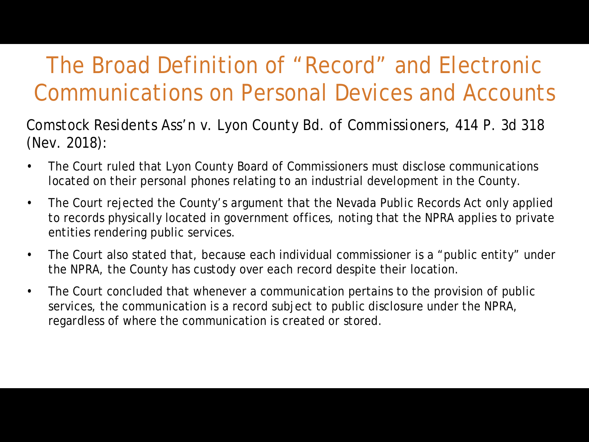*Comstock Residents Ass'n v. Lyon County Bd. of Commissioners*, 414 P. 3d 318 (Nev. 2018):

- The Court ruled that Lyon County Board of Commissioners must disclose communications located on their personal phones relating to an industrial development in the County.
- The Court rejected the County's argument that the Nevada Public Records Act only applied to records physically located in government offices, noting that the NPRA applies to private entities rendering public services.
- The Court also stated that, because each individual commissioner is a "public entity" under the NPRA, the County has custody over each record despite their location.
- The Court concluded that whenever a communication pertains to the provision of public services, the communication is a record subject to public disclosure under the NPRA, regardless of where the communication is created or stored.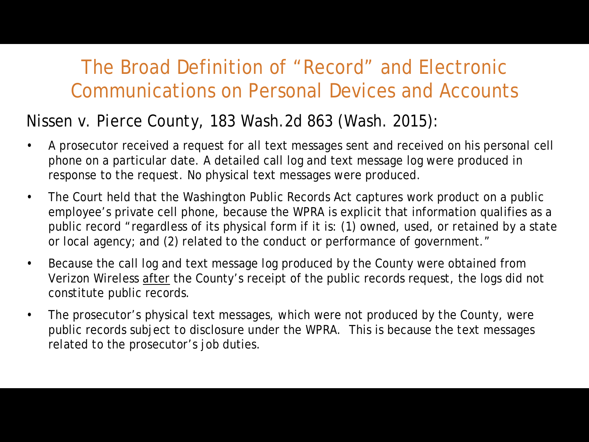#### *Nissen v. Pierce County*, 183 Wash.2d 863 (Wash. 2015):

- A prosecutor received a request for all text messages sent and received on his personal cell phone on a particular date. A detailed call log and text message log were produced in response to the request. No physical text messages were produced.
- The Court held that the Washington Public Records Act captures work product on a public employee's private cell phone, because the WPRA is explicit that information qualifies as a public record "regardless of its physical form if it is: (1) owned, used, or retained by a state or local agency; and (2) related to the conduct or performance of government."
- Because the call log and text message log produced by the County were obtained from Verizon Wireless after the County's receipt of the public records request, the logs did not constitute public records.
- The prosecutor's physical text messages, which were not produced by the County, were public records subject to disclosure under the WPRA. This is because the text messages related to the prosecutor's job duties.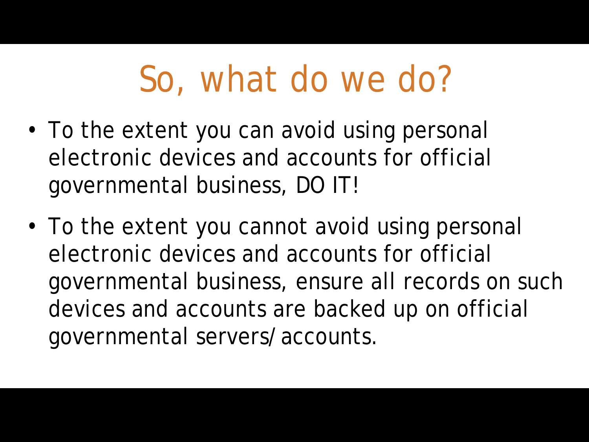### So, what do we do?

- To the extent you can avoid using personal electronic devices and accounts for official governmental business, DO IT!
- To the extent you cannot avoid using personal electronic devices and accounts for official governmental business, ensure all records on such devices and accounts are backed up on official governmental servers/accounts.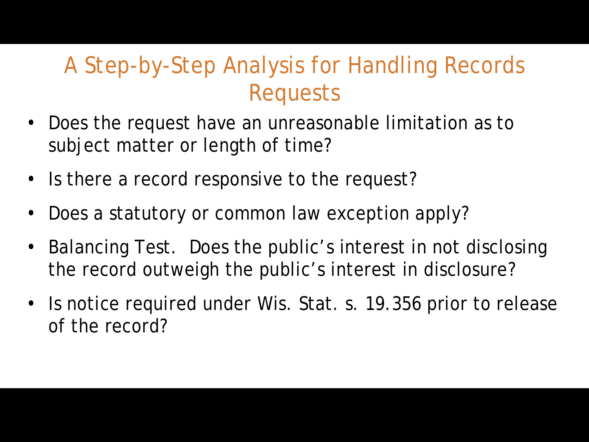#### A Step-by-Step Analysis for Handling Records Requests

- Does the request have an unreasonable limitation as to subject matter or length of time?
- Is there a record responsive to the request?
- Does a statutory or common law exception apply?
- Balancing Test. Does the public's interest in not disclosing the record outweigh the public's interest in disclosure?
- Is notice required under Wis. Stat. s. 19.356 prior to release of the record?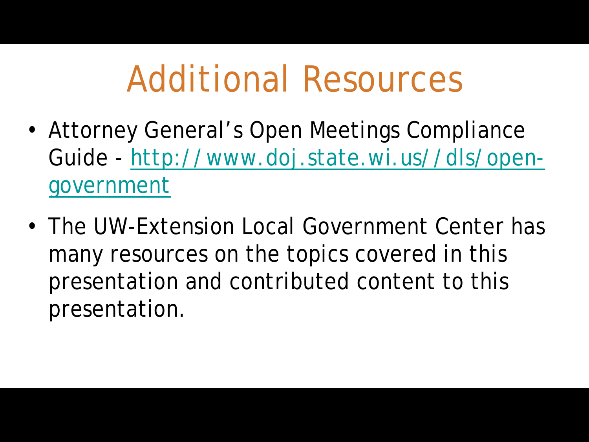### Additional Resources

- Attorney General's Open Meetings Compliance Guide - [http://www.doj.state.wi.us//dls/open](http://www.doj.state.wi.us/dls/open-government)government
- The UW-Extension Local Government Center has many resources on the topics covered in this presentation and contributed content to this presentation.